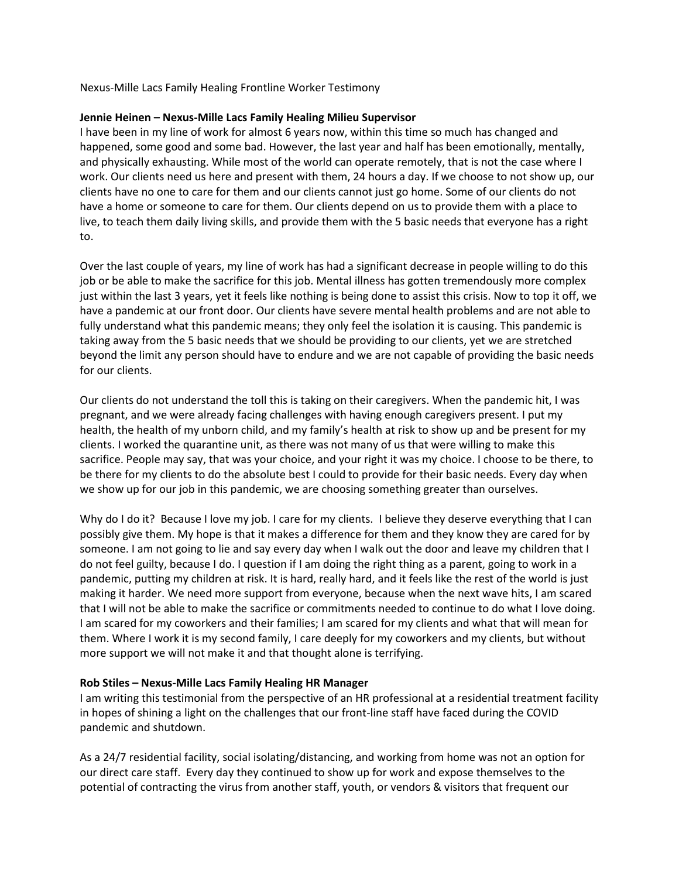Nexus-Mille Lacs Family Healing Frontline Worker Testimony

## **Jennie Heinen – Nexus-Mille Lacs Family Healing Milieu Supervisor**

I have been in my line of work for almost 6 years now, within this time so much has changed and happened, some good and some bad. However, the last year and half has been emotionally, mentally, and physically exhausting. While most of the world can operate remotely, that is not the case where I work. Our clients need us here and present with them, 24 hours a day. If we choose to not show up, our clients have no one to care for them and our clients cannot just go home. Some of our clients do not have a home or someone to care for them. Our clients depend on us to provide them with a place to live, to teach them daily living skills, and provide them with the 5 basic needs that everyone has a right to.

Over the last couple of years, my line of work has had a significant decrease in people willing to do this job or be able to make the sacrifice for this job. Mental illness has gotten tremendously more complex just within the last 3 years, yet it feels like nothing is being done to assist this crisis. Now to top it off, we have a pandemic at our front door. Our clients have severe mental health problems and are not able to fully understand what this pandemic means; they only feel the isolation it is causing. This pandemic is taking away from the 5 basic needs that we should be providing to our clients, yet we are stretched beyond the limit any person should have to endure and we are not capable of providing the basic needs for our clients.

Our clients do not understand the toll this is taking on their caregivers. When the pandemic hit, I was pregnant, and we were already facing challenges with having enough caregivers present. I put my health, the health of my unborn child, and my family's health at risk to show up and be present for my clients. I worked the quarantine unit, as there was not many of us that were willing to make this sacrifice. People may say, that was your choice, and your right it was my choice. I choose to be there, to be there for my clients to do the absolute best I could to provide for their basic needs. Every day when we show up for our job in this pandemic, we are choosing something greater than ourselves.

Why do I do it? Because I love my job. I care for my clients. I believe they deserve everything that I can possibly give them. My hope is that it makes a difference for them and they know they are cared for by someone. I am not going to lie and say every day when I walk out the door and leave my children that I do not feel guilty, because I do. I question if I am doing the right thing as a parent, going to work in a pandemic, putting my children at risk. It is hard, really hard, and it feels like the rest of the world is just making it harder. We need more support from everyone, because when the next wave hits, I am scared that I will not be able to make the sacrifice or commitments needed to continue to do what I love doing. I am scared for my coworkers and their families; I am scared for my clients and what that will mean for them. Where I work it is my second family, I care deeply for my coworkers and my clients, but without more support we will not make it and that thought alone is terrifying.

## **Rob Stiles – Nexus-Mille Lacs Family Healing HR Manager**

I am writing this testimonial from the perspective of an HR professional at a residential treatment facility in hopes of shining a light on the challenges that our front-line staff have faced during the COVID pandemic and shutdown.

As a 24/7 residential facility, social isolating/distancing, and working from home was not an option for our direct care staff. Every day they continued to show up for work and expose themselves to the potential of contracting the virus from another staff, youth, or vendors & visitors that frequent our